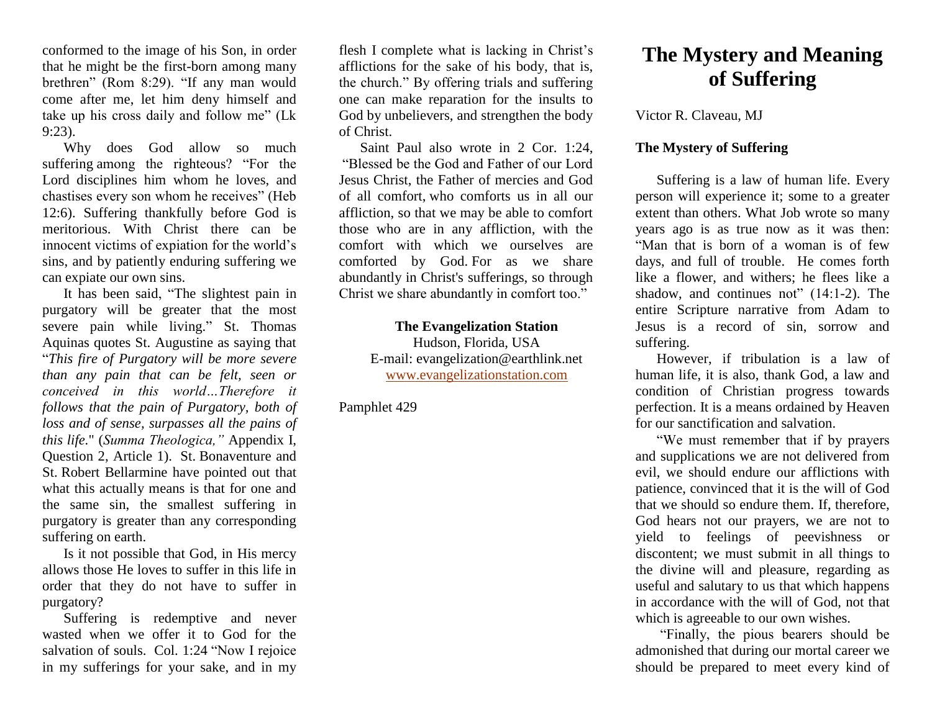conformed to the image of his Son, in order that he might be the first-born among many brethren" (Rom 8:29). "If any man would come after me, let him deny himself and take up his cross daily and follow me" (Lk 9:23).

Why does God allow so much suffering among the righteous? "For the Lord disciplines him whom he loves, and chastises every son whom he receives" (Heb 12:6). Suffering thankfully before God is meritorious. With Christ there can be innocent victims of expiation for the world's sins, and by patiently enduring suffering we can expiate our own sins.

It has been said, "The slightest pain in purgatory will be greater that the most severe pain while living." St. Thomas Aquinas quotes St. Augustine as saying that "*This fire of Purgatory will be more severe than any pain that can be felt, seen or conceived in this world…Therefore it follows that the pain of Purgatory, both of loss and of sense, surpasses all the pains of this life.*" (*Summa Theologica,"* Appendix I, Question 2, Article 1). St. Bonaventure and St. Robert Bellarmine have pointed out that what this actually means is that for one and the same sin, the smallest suffering in purgatory is greater than any corresponding suffering on earth.

Is it not possible that God, in His mercy allows those He loves to suffer in this life in order that they do not have to suffer in purgatory?

Suffering is redemptive and never wasted when we offer it to God for the salvation of souls. Col. 1:24 "Now I rejoice in my sufferings for your sake, and in my

flesh I complete what is lacking in Christ's afflictions for the sake of his body, that is, the church." By offering trials and suffering one can make reparation for the insults to God by unbelievers, and strengthen the body of Christ.

Saint Paul also wrote in 2 Cor. 1:24, "Blessed be the God and Father of our Lord Jesus Christ, the Father of mercies and God of all comfort, who comforts us in all our affliction, so that we may be able to comfort those who are in any affliction, with the comfort with which we ourselves are comforted by God. For as we share abundantly in Christ's sufferings, so through Christ we share abundantly in comfort too."

## **The Evangelization Station**

Hudson, Florida, USA E-mail: evangelization@earthlink.net [www.evangelizationstation.com](http://www.pjpiisoe.org/)

Pamphlet 429

## **The Mystery and Meaning of Suffering**

Victor R. Claveau, MJ

## **The Mystery of Suffering**

Suffering is a law of human life. Every person will experience it; some to a greater extent than others. What Job wrote so many years ago is as true now as it was then: "Man that is born of a woman is of few days, and full of trouble. He comes forth like a flower, and withers; he flees like a shadow, and continues not" (14:1-2). The entire Scripture narrative from Adam to Jesus is a record of sin, sorrow and suffering.

However, if tribulation is a law of human life, it is also, thank God, a law and condition of Christian progress towards perfection. It is a means ordained by Heaven for our sanctification and salvation.

"We must remember that if by prayers and supplications we are not delivered from evil, we should endure our afflictions with patience, convinced that it is the will of God that we should so endure them. If, therefore, God hears not our prayers, we are not to yield to feelings of peevishness or discontent; we must submit in all things to the divine will and pleasure, regarding as useful and salutary to us that which happens in accordance with the will of God, not that which is agreeable to our own wishes.

"Finally, the pious bearers should be admonished that during our mortal career we should be prepared to meet every kind of